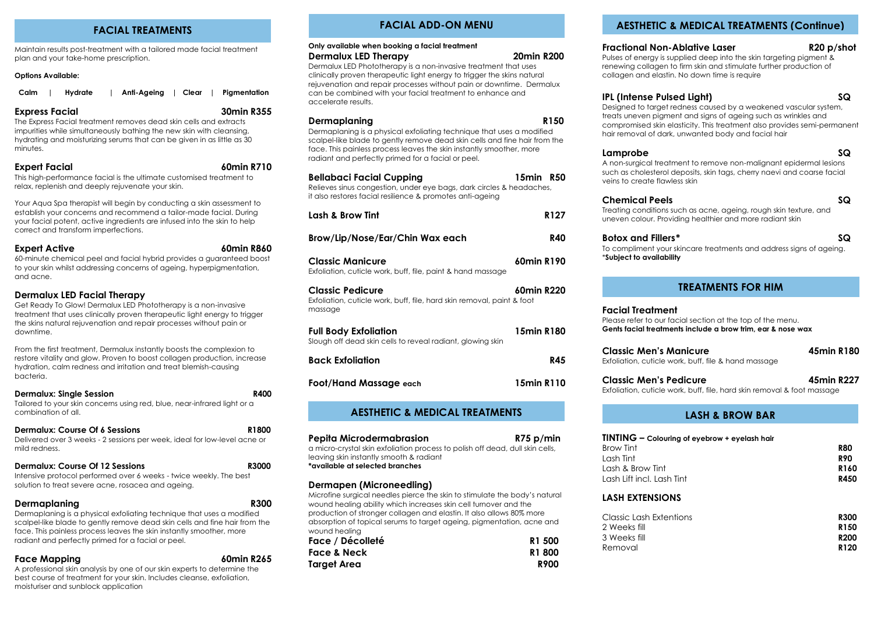### **FACIAL TREATMENTS**

Maintain results post-treatment with a tailored made facial treatment plan and your take-home prescription.

### **Options Available:**

| Calm   Hydrate | Anti-Ageing   Clear   Pigmentation |  |  |
|----------------|------------------------------------|--|--|
|----------------|------------------------------------|--|--|

### **Express Facial 30min R355**

The Express Facial treatment removes dead skin cells and extracts impurities while simultaneously bathing the new skin with cleansing, hydrating and moisturizing serums that can be given in as little as 30 minutes.

### **Expert Facial 60min R710**

This high-performance facial is the ultimate customised treatment to relax, replenish and deeply rejuvenate your skin.

Your Aqua Spa therapist will begin by conducting a skin assessment to establish your concerns and recommend a tailor-made facial. During your facial potent, active ingredients are infused into the skin to help correct and transform imperfections.

**Expert Active 60min R860** 

60-minute chemical peel and facial hybrid provides a guaranteed boost to your skin whilst addressing concerns of ageing, hyperpigmentation, and acne.

### **Dermalux LED Facial Therapy**

Get Ready To Glow! Dermalux LED Phototherapy is a non-invasive treatment that uses clinically proven therapeutic light energy to trigger the skins natural rejuvenation and repair processes without pain or downtime.

From the first treatment, Dermalux instantly boosts the complexion to restore vitality and glow. Proven to boost collagen production, increase hydration, calm redness and irritation and treat blemish-causing bacteria.

| <b>Dermalux: Single Session</b>                                                                 | R400  |
|-------------------------------------------------------------------------------------------------|-------|
| Tailored to your skin concerns using red, blue, near-infrared light or a<br>combination of all. |       |
| Dermalux: Course Of 6 Sessions                                                                  | R1800 |
| Delivered over 3 weeks - 2 sessions per week, ideal for low-level acne or                       |       |

| Dermalux: Course Of 12 Sessions                                    | <b>R3000</b> |
|--------------------------------------------------------------------|--------------|
| Intensive protocol performed over 6 weeks - twice weekly. The best |              |
| solution to treat severe acne, rosacea and ageing.                 |              |

### **Dermaplaning R300**

Dermaplaning is a physical exfoliating technique that uses a modified scalpel-like blade to gently remove dead skin cells and fine hair from the face. This painless process leaves the skin instantly smoother, more radiant and perfectly primed for a facial or peel.

**Face Mapping 60min R265**

A professional skin analysis by one of our skin experts to determine the best course of treatment for your skin. Includes cleanse, exfoliation, moisturiser and sunblock application

# **FACIAL ADD-ON MENU**

| Only available when booking a facial treatment |                   |
|------------------------------------------------|-------------------|
| Dermalux LED Therapy                           | <b>20min R200</b> |

Dermalux LED Phototherapy is a non-invasive treatment that uses clinically proven therapeutic light energy to trigger the skins natural rejuvenation and repair processes without pain or downtime. Dermalux can be combined with your facial treatment to enhance and accelerate results.

### **Dermaplaning R150**

Dermaplaning is a physical exfoliating technique that uses a modified scalpel-like blade to gently remove dead skin cells and fine hair from the face. This painless process leaves the skin instantly smoother, more radiant and perfectly primed for a facial or peel.

# **Bellabaci Facial Cupping 15min R50**

Relieves sinus congestion, under eye bags, dark circles & headaches, it also restores facial resilience & promotes anti-ageing

| Lash & Brow Tint                | R127       |
|---------------------------------|------------|
| Brow/Lip/Nose/Ear/Chin Wax each | <b>R40</b> |

| Classic Manicure                                            | 60min R190 |
|-------------------------------------------------------------|------------|
| Exfoliation, cuticle work, buff, file, paint & hand massage |            |

### **Classic Pedicure 60min R220**

| Exfoliation, cuticle work, buff, file, hard skin removal, paint & foot |  |
|------------------------------------------------------------------------|--|
| massage                                                                |  |

| <b>Full Body Exfoliation</b>                               | 15min R180 |
|------------------------------------------------------------|------------|
| Slough off dead skin cells to reveal radiant, glowing skin |            |
| <b>Back Exfoliation</b>                                    | R45        |
|                                                            |            |

**Foot/Hand Massage each 15min R110**

### **AESTHETIC & MEDICAL TREATMENTS**

| Pepita Microdermabrasion                                                      | R75 p/min |
|-------------------------------------------------------------------------------|-----------|
| a micro-crystal skin exfoliation process to polish off dead, dull skin cells, |           |
| leaving skin instantly smooth & radiant                                       |           |
| *available at selected branches                                               |           |

### **Dermapen (Microneedling)**

Microfine surgical needles pierce the skin to stimulate the body's natural wound healing ability which increases skin cell turnover and the production of stronger collagen and elastin. It also allows 80% more absorption of topical serums to target ageing, pigmentation, acne and wound healing

| Face / Décolleté | R1 500      |
|------------------|-------------|
| Face & Neck      | R1800       |
| Target Area      | <b>R900</b> |

### **AESTHETIC & MEDICAL TREATMENTS (Continue)**

### **Fractional Non-Ablative Laser R20 p/shot**

Pulses of energy is supplied deep into the skin targeting pigment & renewing collagen to firm skin and stimulate further production of collagen and elastin. No down time is require

### **IPL (Intense Pulsed Light) SQ**

Designed to target redness caused by a weakened vascular system, treats uneven pigment and signs of ageing such as wrinkles and compromised skin elasticity. This treatment also provides semi-permanent hair removal of dark, unwanted body and facial hair

### **Lamprobe SQ**

A non-surgical treatment to remove non-malignant epidermal lesions such as cholesterol deposits, skin tags, cherry naevi and coarse facial veins to create flawless skin

### **Chemical Peels SQ**

Treating conditions such as acne, ageing, rough skin texture, and uneven colour. Providing healthier and more radiant skin

### **Botox and Fillers\* SQ**

To compliment your skincare treatments and address signs of ageing. \***Subject to availability**

# **TREATMENTS FOR HIM**

#### **Facial Treatment** Please refer to our facial section at the top of the menu. **Gents facial treatments include a brow trim, ear & nose wax**

| <b>Classic Men's Manicure</b>                        | 45min R180 |
|------------------------------------------------------|------------|
| Exfoliation, cuticle work, buff, file & hand massage |            |

# **Classic Men's Pedicure 45min R227**

Exfoliation, cuticle work, buff, file, hard skin removal & foot massage

# **LASH & BROW BAR**

| TINTING - Colouring of eyebrow + eyelash hair |             |  |
|-----------------------------------------------|-------------|--|
| Brow Tint                                     | <b>R80</b>  |  |
| Lash Tint                                     | <b>R90</b>  |  |
| Lash & Brow Tint                              | <b>R160</b> |  |
| Lash Lift incl. Lash Tint                     | R450        |  |

### **LASH EXTENSIONS**

| Classic Lash Extentions | <b>R300</b>      |
|-------------------------|------------------|
| 2 Weeks fill            | R <sub>150</sub> |
| 3 Weeks fill            | <b>R200</b>      |
| Removal                 | R <sub>120</sub> |
|                         |                  |